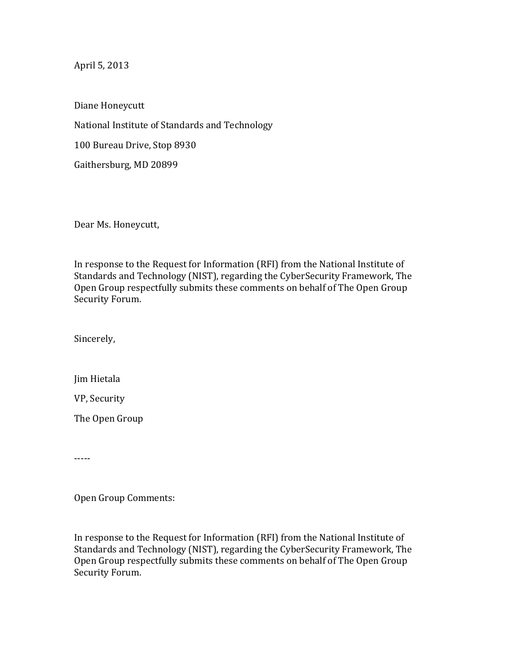April 5, 2013

Diane Honeycutt National Institute of Standards and Technology 100 Bureau Drive, Stop 8930 Gaithersburg, MD 20899

Dear Ms. Honeycutt,

In response to the Request for Information (RFI) from the National Institute of Standards and Technology (NIST), regarding the CyberSecurity Framework, The Open Group respectfully submits these comments on behalf of The Open Group Security Forum.

Sincerely,

Jim Hietala

VP, Security

The Open Group

-----

Open Group Comments:

In response to the Request for Information (RFI) from the National Institute of Standards and Technology (NIST), regarding the CyberSecurity Framework, The Open Group respectfully submits these comments on behalf of The Open Group Security Forum.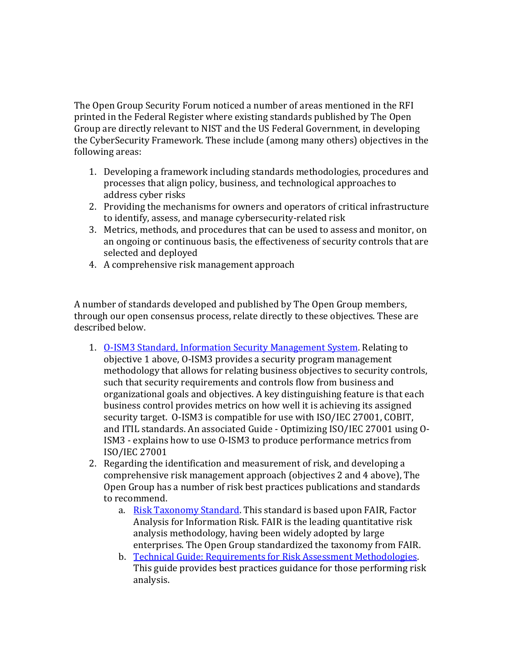The Open Group Security Forum noticed a number of areas mentioned in the RFI printed in the Federal Register where existing standards published by The Open Group are directly relevant to NIST and the US Federal Government, in developing the CyberSecurity Framework. These include (among many others) objectives in the following areas:

- 1. Developing a framework including standards methodologies, procedures and processes that align policy, business, and technological approaches to address cyber risks
- 2. Providing the mechanisms for owners and operators of critical infrastructure to identify, assess, and manage cybersecurity-related risk
- 3. Metrics, methods, and procedures that can be used to assess and monitor, on an ongoing or continuous basis, the effectiveness of security controls that are selected and deployed
- 4. A comprehensive risk management approach

A number of standards developed and published by The Open Group members, through our open consensus process, relate directly to these objectives. These are described below.

- 1. [O-ISM3 Standard, Information Security Management System.](https://www2.opengroup.org/ogsys/catalog/C102) Relating to objective 1 above, O-ISM3 provides a security program management methodology that allows for relating business objectives to security controls, such that security requirements and controls flow from business and organizational goals and objectives. A key distinguishing feature is that each business control provides metrics on how well it is achieving its assigned security target. O-ISM3 is compatible for use with ISO/IEC 27001, COBIT, and ITIL standards. An associated Guide - Optimizing ISO/IEC 27001 using O-ISM3 - explains how to use O-ISM3 to produce performance metrics from ISO/IEC 27001
- 2. Regarding the identification and measurement of risk, and developing a comprehensive risk management approach (objectives 2 and 4 above), The Open Group has a number of risk best practices publications and standards to recommend.
	- a. [Risk Taxonomy Standard.](https://www2.opengroup.org/ogsys/catalog/C081) This standard is based upon FAIR, Factor Analysis for Information Risk. FAIR is the leading quantitative risk analysis methodology, having been widely adopted by large enterprises. The Open Group standardized the taxonomy from FAIR.
	- b. [Technical Guide: Requirements for Risk](https://www2.opengroup.org/ogsys/catalog/G081) Assessment Methodologies. This guide provides best practices guidance for those performing risk analysis.